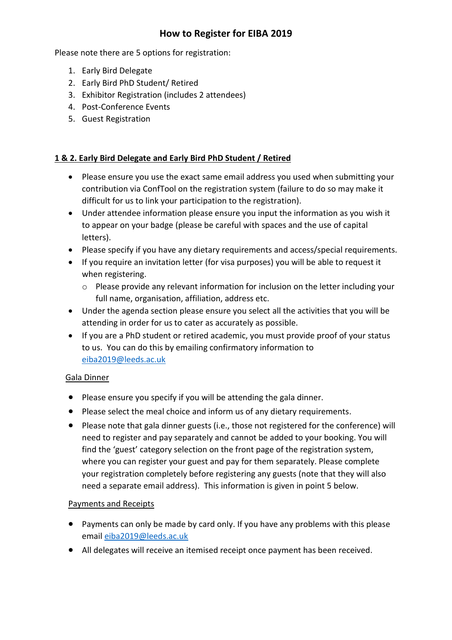# **How to Register for EIBA 2019**

Please note there are 5 options for registration:

- 1. Early Bird Delegate
- 2. Early Bird PhD Student/ Retired
- 3. Exhibitor Registration (includes 2 attendees)
- 4. Post-Conference Events
- 5. Guest Registration

#### **1 & 2. Early Bird Delegate and Early Bird PhD Student / Retired**

- Please ensure you use the exact same email address you used when submitting your contribution via ConfTool on the registration system (failure to do so may make it difficult for us to link your participation to the registration).
- Under attendee information please ensure you input the information as you wish it to appear on your badge (please be careful with spaces and the use of capital letters).
- Please specify if you have any dietary requirements and access/special requirements.
- If you require an invitation letter (for visa purposes) you will be able to request it when registering.
	- o Please provide any relevant information for inclusion on the letter including your full name, organisation, affiliation, address etc.
- Under the agenda section please ensure you select all the activities that you will be attending in order for us to cater as accurately as possible.
- If you are a PhD student or retired academic, you must provide proof of your status to us. You can do this by emailing confirmatory information to [eiba2019@leeds.ac.uk](mailto:eiba2019@leeds.ac.uk)

#### Gala Dinner

- Please ensure you specify if you will be attending the gala dinner.
- Please select the meal choice and inform us of any dietary requirements.
- Please note that gala dinner guests (i.e., those not registered for the conference) will need to register and pay separately and cannot be added to your booking. You will find the 'guest' category selection on the front page of the registration system, where you can register your guest and pay for them separately. Please complete your registration completely before registering any guests (note that they will also need a separate email address). This information is given in point 5 below.

#### Payments and Receipts

- Payments can only be made by card only. If you have any problems with this please email [eiba2019@leeds.ac.uk](mailto:eiba2019@leeds.ac.uk)
- All delegates will receive an itemised receipt once payment has been received.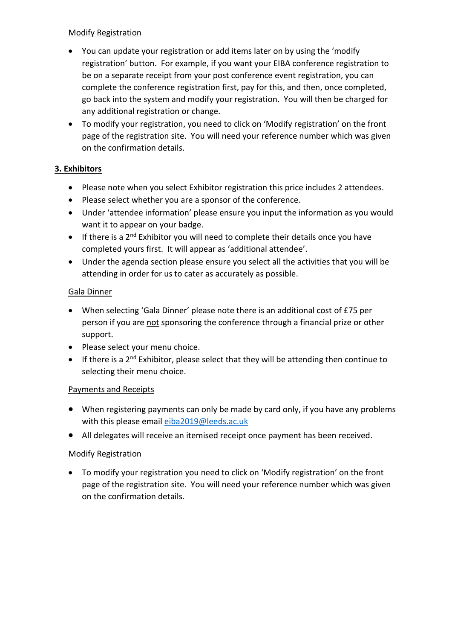### Modify Registration

- You can update your registration or add items later on by using the 'modify registration' button. For example, if you want your EIBA conference registration to be on a separate receipt from your post conference event registration, you can complete the conference registration first, pay for this, and then, once completed, go back into the system and modify your registration. You will then be charged for any additional registration or change.
- To modify your registration, you need to click on 'Modify registration' on the front page of the registration site. You will need your reference number which was given on the confirmation details.

# **3. Exhibitors**

- Please note when you select Exhibitor registration this price includes 2 attendees.
- Please select whether you are a sponsor of the conference.
- Under 'attendee information' please ensure you input the information as you would want it to appear on your badge.
- If there is a 2<sup>nd</sup> Exhibitor you will need to complete their details once you have completed yours first. It will appear as 'additional attendee'.
- Under the agenda section please ensure you select all the activities that you will be attending in order for us to cater as accurately as possible.

### Gala Dinner

- When selecting 'Gala Dinner' please note there is an additional cost of £75 per person if you are not sponsoring the conference through a financial prize or other support.
- Please select your menu choice.
- If there is a  $2^{nd}$  Exhibitor, please select that they will be attending then continue to selecting their menu choice.

# Payments and Receipts

- When registering payments can only be made by card only, if you have any problems with this please email [eiba2019@leeds.ac.uk](mailto:eiba2019@leeds.ac.uk)
- All delegates will receive an itemised receipt once payment has been received.

# Modify Registration

 To modify your registration you need to click on 'Modify registration' on the front page of the registration site. You will need your reference number which was given on the confirmation details.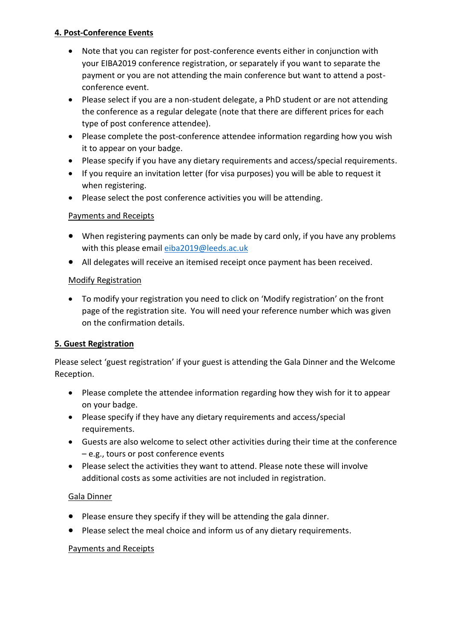### **4. Post-Conference Events**

- Note that you can register for post-conference events either in conjunction with your EIBA2019 conference registration, or separately if you want to separate the payment or you are not attending the main conference but want to attend a postconference event.
- Please select if you are a non-student delegate, a PhD student or are not attending the conference as a regular delegate (note that there are different prices for each type of post conference attendee).
- Please complete the post-conference attendee information regarding how you wish it to appear on your badge.
- Please specify if you have any dietary requirements and access/special requirements.
- If you require an invitation letter (for visa purposes) you will be able to request it when registering.
- Please select the post conference activities you will be attending.

# Payments and Receipts

- When registering payments can only be made by card only, if you have any problems with this please email [eiba2019@leeds.ac.uk](mailto:eiba2019@leeds.ac.uk)
- All delegates will receive an itemised receipt once payment has been received.

### Modify Registration

 To modify your registration you need to click on 'Modify registration' on the front page of the registration site. You will need your reference number which was given on the confirmation details.

# **5. Guest Registration**

Please select 'guest registration' if your guest is attending the Gala Dinner and the Welcome Reception.

- Please complete the attendee information regarding how they wish for it to appear on your badge.
- Please specify if they have any dietary requirements and access/special requirements.
- Guests are also welcome to select other activities during their time at the conference – e.g., tours or post conference events
- Please select the activities they want to attend. Please note these will involve additional costs as some activities are not included in registration.

#### Gala Dinner

- Please ensure they specify if they will be attending the gala dinner.
- Please select the meal choice and inform us of any dietary requirements.

# Payments and Receipts